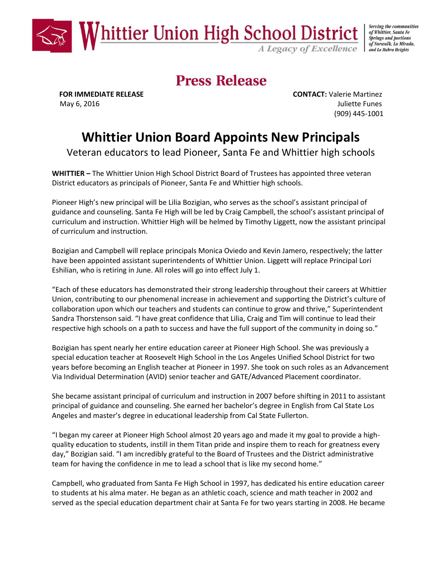

Serving the communities of Whittier, Santa Fe **Springs and portions** of Norwalk, La Mirada, and La Habra Heights

## **Press Release**

 **FOR IMMEDIATE RELEASE CONTACT:** Valerie Martinez May 6, 2016 **Juliette Funes** (909) 445-1001

## **Whittier Union Board Appoints New Principals**

Veteran educators to lead Pioneer, Santa Fe and Whittier high schools

**WHITTIER –** The Whittier Union High School District Board of Trustees has appointed three veteran District educators as principals of Pioneer, Santa Fe and Whittier high schools.

Pioneer High's new principal will be Lilia Bozigian, who serves as the school's assistant principal of guidance and counseling. Santa Fe High will be led by Craig Campbell, the school's assistant principal of curriculum and instruction. Whittier High will be helmed by Timothy Liggett, now the assistant principal of curriculum and instruction.

Bozigian and Campbell will replace principals Monica Oviedo and Kevin Jamero, respectively; the latter have been appointed assistant superintendents of Whittier Union. Liggett will replace Principal Lori Eshilian, who is retiring in June. All roles will go into effect July 1.

"Each of these educators has demonstrated their strong leadership throughout their careers at Whittier Union, contributing to our phenomenal increase in achievement and supporting the District's culture of collaboration upon which our teachers and students can continue to grow and thrive," Superintendent Sandra Thorstenson said. "I have great confidence that Lilia, Craig and Tim will continue to lead their respective high schools on a path to success and have the full support of the community in doing so."

Bozigian has spent nearly her entire education career at Pioneer High School. She was previously a special education teacher at Roosevelt High School in the Los Angeles Unified School District for two years before becoming an English teacher at Pioneer in 1997. She took on such roles as an Advancement Via Individual Determination (AVID) senior teacher and GATE/Advanced Placement coordinator.

She became assistant principal of curriculum and instruction in 2007 before shifting in 2011 to assistant principal of guidance and counseling. She earned her bachelor's degree in English from Cal State Los Angeles and master's degree in educational leadership from Cal State Fullerton.

"I began my career at Pioneer High School almost 20 years ago and made it my goal to provide a highquality education to students, instill in them Titan pride and inspire them to reach for greatness every day," Bozigian said. "I am incredibly grateful to the Board of Trustees and the District administrative team for having the confidence in me to lead a school that is like my second home."

Campbell, who graduated from Santa Fe High School in 1997, has dedicated his entire education career to students at his alma mater. He began as an athletic coach, science and math teacher in 2002 and served as the special education department chair at Santa Fe for two years starting in 2008. He became